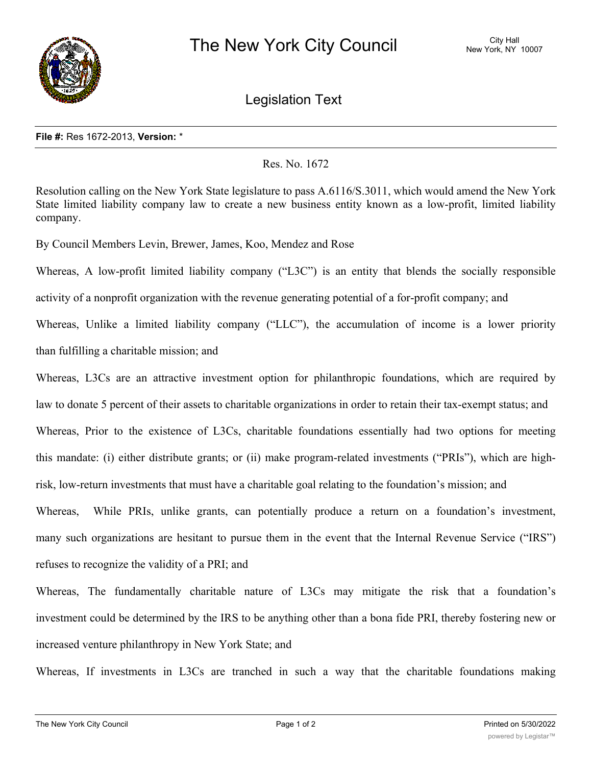

Legislation Text

## **File #:** Res 1672-2013, **Version:** \*

Res. No. 1672

Resolution calling on the New York State legislature to pass A.6116/S.3011, which would amend the New York State limited liability company law to create a new business entity known as a low-profit, limited liability company.

By Council Members Levin, Brewer, James, Koo, Mendez and Rose

Whereas, A low-profit limited liability company ("L3C") is an entity that blends the socially responsible activity of a nonprofit organization with the revenue generating potential of a for-profit company; and Whereas, Unlike a limited liability company ("LLC"), the accumulation of income is a lower priority

than fulfilling a charitable mission; and

Whereas, L3Cs are an attractive investment option for philanthropic foundations, which are required by law to donate 5 percent of their assets to charitable organizations in order to retain their tax-exempt status; and Whereas, Prior to the existence of L3Cs, charitable foundations essentially had two options for meeting this mandate: (i) either distribute grants; or (ii) make program-related investments ("PRIs"), which are highrisk, low-return investments that must have a charitable goal relating to the foundation's mission; and

Whereas, While PRIs, unlike grants, can potentially produce a return on a foundation's investment, many such organizations are hesitant to pursue them in the event that the Internal Revenue Service ("IRS") refuses to recognize the validity of a PRI; and

Whereas, The fundamentally charitable nature of L3Cs may mitigate the risk that a foundation's investment could be determined by the IRS to be anything other than a bona fide PRI, thereby fostering new or increased venture philanthropy in New York State; and

Whereas, If investments in L3Cs are tranched in such a way that the charitable foundations making